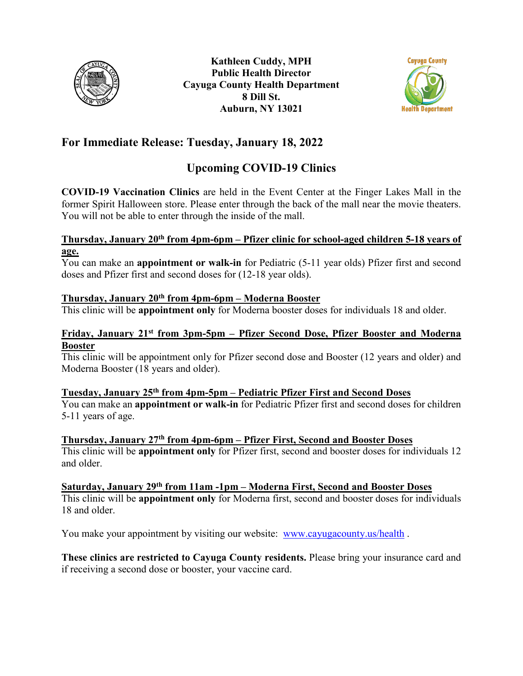



## **For Immediate Release: Tuesday, January 18, 2022**

## **Upcoming COVID-19 Clinics**

**COVID-19 Vaccination Clinics** are held in the Event Center at the Finger Lakes Mall in the former Spirit Halloween store. Please enter through the back of the mall near the movie theaters. You will not be able to enter through the inside of the mall.

#### **Thursday, January 20th from 4pm-6pm – Pfizer clinic for school-aged children 5-18 years of age.**

You can make an **appointment or walk-in** for Pediatric (5-11 year olds) Pfizer first and second doses and Pfizer first and second doses for (12-18 year olds).

#### **Thursday, January 20th from 4pm-6pm – Moderna Booster**

This clinic will be **appointment only** for Moderna booster doses for individuals 18 and older.

#### **Friday, January 21st from 3pm-5pm – Pfizer Second Dose, Pfizer Booster and Moderna Booster**

This clinic will be appointment only for Pfizer second dose and Booster (12 years and older) and Moderna Booster (18 years and older).

### **Tuesday, January 25th from 4pm-5pm – Pediatric Pfizer First and Second Doses**

You can make an **appointment or walk-in** for Pediatric Pfizer first and second doses for children 5-11 years of age.

**Thursday, January 27th from 4pm-6pm – Pfizer First, Second and Booster Doses**  This clinic will be **appointment only** for Pfizer first, second and booster doses for individuals 12 and older.

# **Saturday, January 29th from 11am -1pm – Moderna First, Second and Booster Doses**

This clinic will be **appointment only** for Moderna first, second and booster doses for individuals 18 and older.

You make your appointment by visiting our website: [www.cayugacounty.us/health](http://www.cayugacounty.us/health) .

**These clinics are restricted to Cayuga County residents.** Please bring your insurance card and if receiving a second dose or booster, your vaccine card.